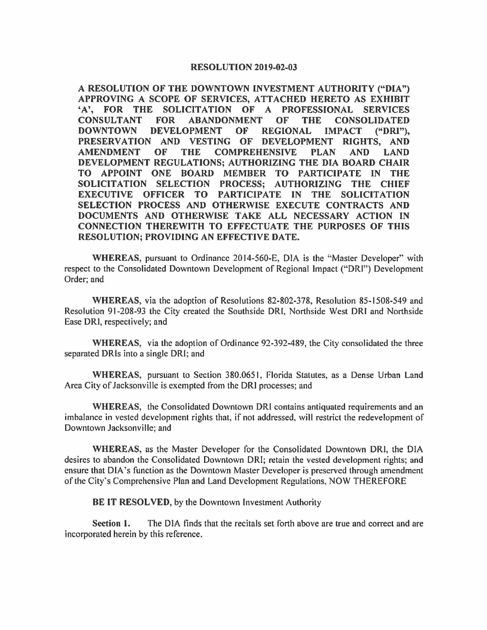## **RESOLUTION 2019-02-03**

**A RESOLUTION OF THE DOWNTOWN INVESTMENT AUTHORITY ("DIA")**  APPROVING A SCOPE OF SERVICES, ATTACHED HERETO AS EXHIBIT **'A', FOR THE SOLICITATION OF A PROFESSIONAL SERVICES CONSULTANT FOR ABANDONMENT OF THE CONSOLIDATED DEVELOPMENT OF REGIONAL IMPACT ("DRI"), PRESERVATION AND VESTING OF DEVELOPMENT RIGHTS, AND AMENDMENT OF THE COMPREHENSIVE PLAN AND LAND DEVELOPMENT REGULATIONS; AUTHORIZING THE DIA BOARD CHAIR TO APPOINT ONE BOARD MEMBER TO PARTICIPATE IN THE SOLICITATION SELECTION PROCESS; AUTHORIZING THE CHIEF EXECUTIVE OFFICER TO PARTICIPATE IN THE SOLICITATION SELECTION PROCESS AND OTHERWISE EXECUTE CONTRACTS AND DOCUMENTS AND OTHERWISE TAKE ALL NECESSARY ACTION IN CONNECTION THEREWITH TO EFFECTUATE THE PURPOSES OF THIS RESOLUTION; PROVIDING AN EFFECTIVE DATE.** 

WHEREAS, pursuant to Ordinance 2014-560-E, DIA is the "Master Developer" with respect to the Consolidated Downtown Development of Regional Impact ("DRI") Development Order; and

**WHEREAS,** via the adoption of Resolutions 82-802-378, Resolution 85-1508-549 and Resolution 91-208-93 the City created the Southside DRI, Northside West DRI and Northside Ease DRI, respectively; and

**WHEREAS,** via the adoption of Ordinance 92-392-489, the City consolidated the three separated DRls into a single DRI; and

**WHEREAS,** pursuant to Section 380.0651, Florida Statutes, as a Dense Urban Land Area City of Jacksonville is exempted from the DRI processes; and

**WHEREAS,** the Consolidated Downtown DRI contains antiquated requirements and an imbalance in vested development rights that, if not addressed, will restrict the redevelopment of Downtown Jacksonville; and

**WHEREAS,** as the Master Developer for the Consolidated Downtown DRI, the DIA desires to abandon the Consolidated Downtown DR!; retain the vested development rights; and ensure that DIA 's function as the Downtown Master Developer is preserved through amendment of the City's Comprehensive Plan and Land Development Regulations, NOW THEREFORE

**BE IT RESOLVED,** by the Downtown Investment Authority

**Section 1.** The DIA finds that the recitals set forth above are true and correct and are incorporated herein by this reference.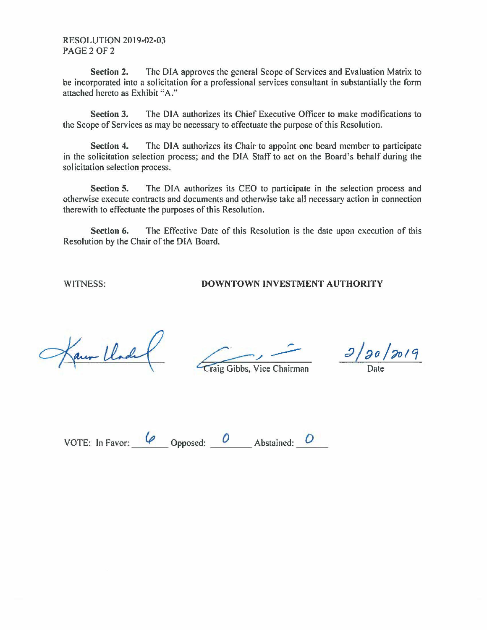RESOLUTION 2019-02-03 PAGE<sub>2</sub>OF<sub>2</sub>

**Section 2.** The DIA approves the general Scope of Services and Evaluation Matrix to be incorporated into a solicitation for a professional services consultant in substantially the form attached hereto as Exhibit "A."

**Section 3.** The DIA authorizes its Chief Executive Officer to make modifications to the Scope of Services as may be necessary to effectuate the purpose of this Resolution.

**Section 4.** The DIA authorizes its Chair to appoint one board member to participate in the solicitation selection process; and the DIA Staff to act on the Board's behalf during the solicitation selection process.

**Section 5.** The DIA authorizes its CEO to participate in the selection process and otherwise execute contracts and documents and otherwise take all necessary action in connection therewith to effectuate the purposes of this Resolution.

**Section 6.** The Effective Date of this Resolution is the date upon execution of this Resolution by the Chair of the DIA Board.

WITNESS: **DOWNTOWN INVESTMENT AUTHORITY** 

Jaun Lloch

,,...

--- :J */:;o /~ICj* 

Craig Gibbs, Vice Chairman

Date

VOTE: In Favor: <u>*Q*</u> Opposed: <u>*Q* Abstained: *Q*</u>